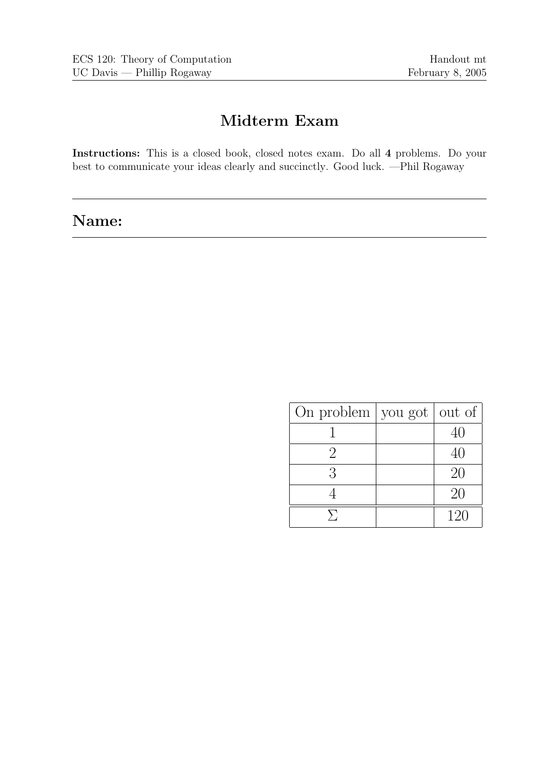# Midterm Exam

Instructions: This is a closed book, closed notes exam. Do all 4 problems. Do your best to communicate your ideas clearly and succinctly. Good luck. —Phil Rogaway

# Name:

| On problem $\vert$ you got $\vert$ out of |     |
|-------------------------------------------|-----|
|                                           | 40  |
| $\mathcal{D}$                             | 40  |
| 3                                         | 20  |
|                                           | 20  |
|                                           | 120 |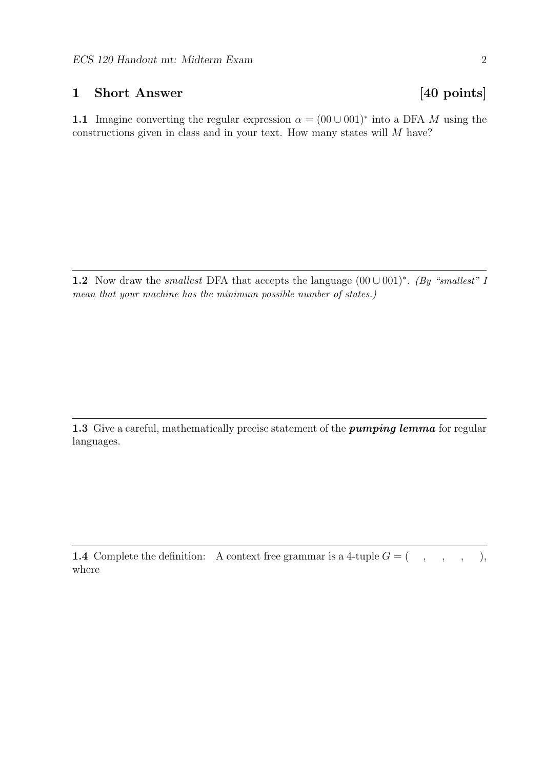### 1 Short Answer [40 points]

1.1 Imagine converting the regular expression  $\alpha = (00 \cup 001)^*$  into a DFA M using the constructions given in class and in your text. How many states will M have?

1.2 Now draw the *smallest* DFA that accepts the language  $(00 \cup 001)^*$ . (By "smallest" I mean that your machine has the minimum possible number of states.)

1.3 Give a careful, mathematically precise statement of the *pumping lemma* for regular languages.

**1.4** Complete the definition: A context free grammar is a 4-tuple  $G = ( , , , , , , )$ where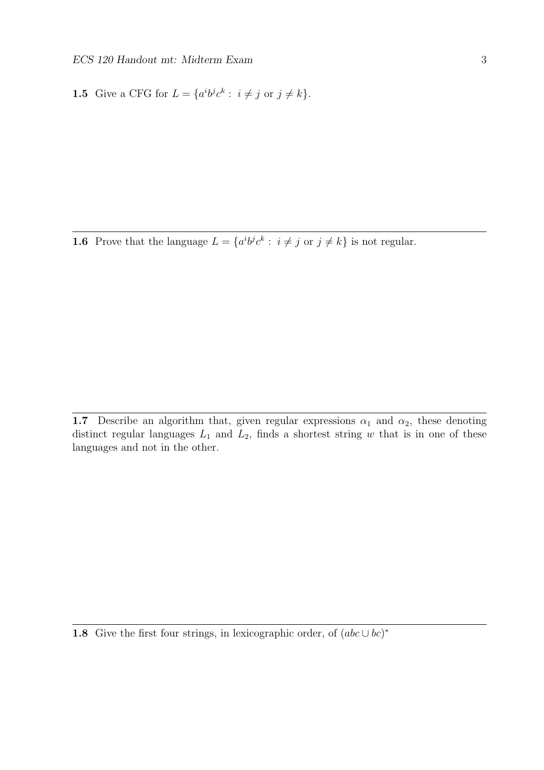**1.5** Give a CFG for  $L = \{a^i b^j c^k : i \neq j \text{ or } j \neq k\}.$ 

**1.6** Prove that the language  $L = \{a^i b^j c^k : i \neq j \text{ or } j \neq k\}$  is not regular.

1.7 Describe an algorithm that, given regular expressions  $\alpha_1$  and  $\alpha_2$ , these denoting distinct regular languages  $L_1$  and  $L_2$ , finds a shortest string w that is in one of these languages and not in the other.

1.8 Give the first four strings, in lexicographic order, of  $(abc \cup bc)^*$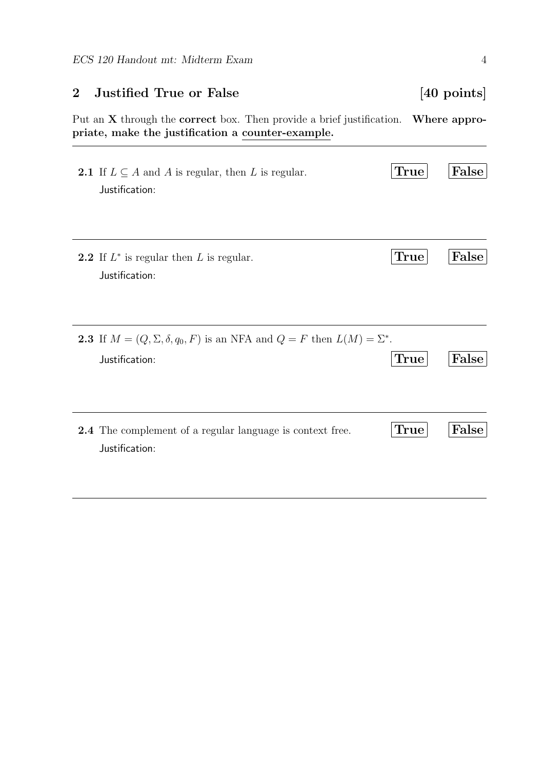| $\bf{2}$ | <b>Justified True or False</b>                                                                                                      |             | $[40 \text{ points}]$ |
|----------|-------------------------------------------------------------------------------------------------------------------------------------|-------------|-----------------------|
|          | Put an $X$ through the <b>correct</b> box. Then provide a brief justification.<br>priate, make the justification a counter-example. |             | Where appro-          |
|          | <b>2.1</b> If $L \subseteq A$ and A is regular, then L is regular.<br>Justification:                                                | True        | False                 |
|          | <b>2.2</b> If $L^*$ is regular then L is regular.<br>Justification:                                                                 | <b>True</b> | False                 |
|          | <b>2.3</b> If $M = (Q, \Sigma, \delta, q_0, F)$ is an NFA and $Q = F$ then $L(M) = \Sigma^*$ .<br>Justification:                    | True        | False                 |
|          | <b>2.4</b> The complement of a regular language is context free.<br>Justification:                                                  | True        | False                 |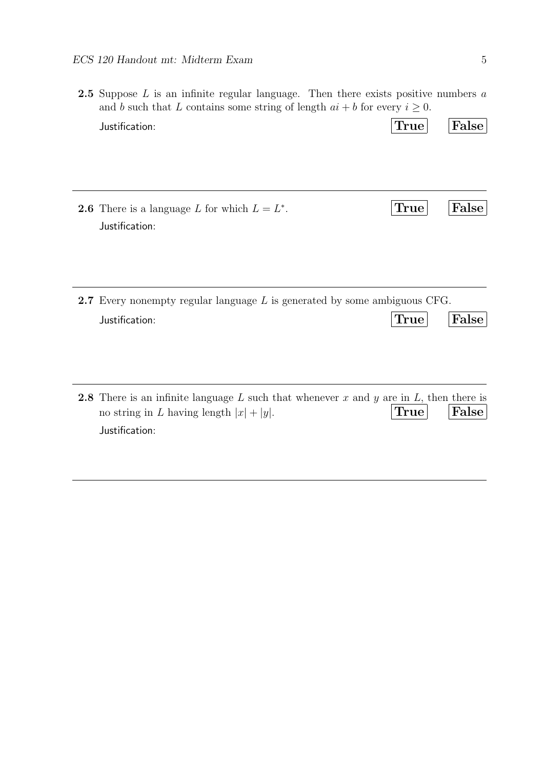| <b>2.5</b> Suppose $L$ is an infinite regular language. Then there exists positive numbers $a$<br>and b such that L contains some string of length $ai + b$ for every $i \geq 0$ . |                                  |       |
|------------------------------------------------------------------------------------------------------------------------------------------------------------------------------------|----------------------------------|-------|
| Justification:                                                                                                                                                                     | $\text{True} \vert$              | False |
| <b>2.6</b> There is a language L for which $L = L^*$ .<br>Justification:                                                                                                           | $\textcolor{black}{\text{True}}$ | False |
| <b>2.7</b> Every nonempty regular language $L$ is generated by some ambiguous CFG.<br>Justification:                                                                               | $\operatorname{True}  $          | False |
| <b>2.8</b> There is an infinite language L such that whenever x and y are in L, then there is<br>no string in L having length $ x  +  y $ .<br>Justification:                      | True                             | False |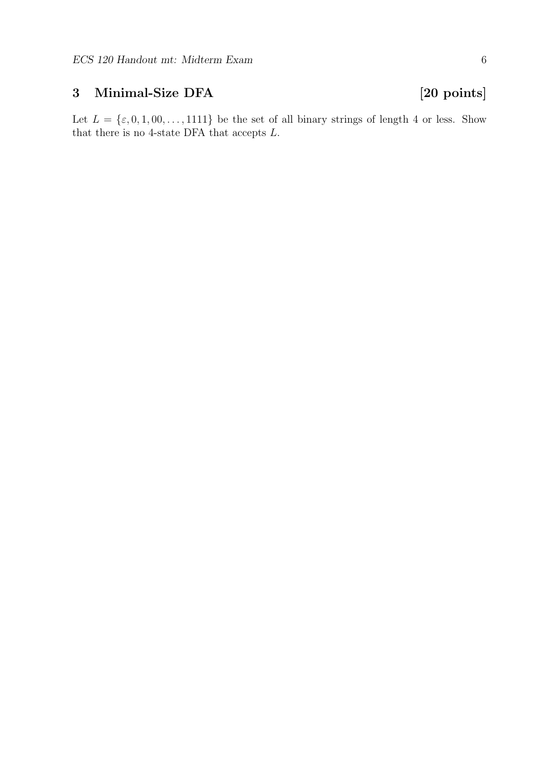## 3 Minimal-Size DFA [20 points]

Let  $L = \{\varepsilon, 0, 1, 00, \ldots, 1111\}$  be the set of all binary strings of length 4 or less. Show that there is no 4-state DFA that accepts  $L$ .